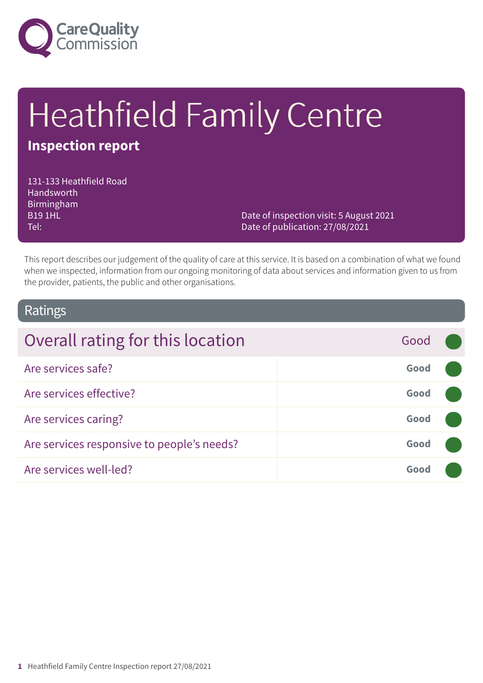

# Heathfield Family Centre

# **Inspection report**

131-133 Heathfield Road Handsworth Birmingham B19 1HL Tel:

Date of inspection visit: 5 August 2021 Date of publication: 27/08/2021

This report describes our judgement of the quality of care at this service. It is based on a combination of what we found when we inspected, information from our ongoing monitoring of data about services and information given to us from the provider, patients, the public and other organisations.

### Ratings

| Overall rating for this location           | Good |  |
|--------------------------------------------|------|--|
| Are services safe?                         | Good |  |
| Are services effective?                    | Good |  |
| Are services caring?                       | Good |  |
| Are services responsive to people's needs? | Good |  |
| Are services well-led?                     | Good |  |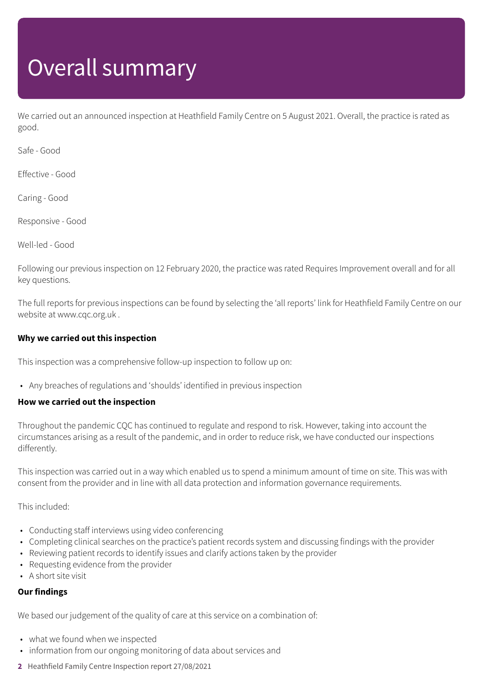# Overall summary

We carried out an announced inspection at Heathfield Family Centre on 5 August 2021. Overall, the practice is rated as good.

Safe - Good

Effective - Good

Caring - Good

Responsive - Good

Well-led - Good

Following our previous inspection on 12 February 2020, the practice was rated Requires Improvement overall and for all key questions.

The full reports for previous inspections can be found by selecting the 'all reports' link for Heathfield Family Centre on our website at www.cqc.org.uk .

### **Why we carried out this inspection**

This inspection was a comprehensive follow-up inspection to follow up on:

• Any breaches of regulations and 'shoulds' identified in previous inspection

#### **How we carried out the inspection**

Throughout the pandemic CQC has continued to regulate and respond to risk. However, taking into account the circumstances arising as a result of the pandemic, and in order to reduce risk, we have conducted our inspections differently.

This inspection was carried out in a way which enabled us to spend a minimum amount of time on site. This was with consent from the provider and in line with all data protection and information governance requirements.

This included:

- Conducting staff interviews using video conferencing
- Completing clinical searches on the practice's patient records system and discussing findings with the provider
- Reviewing patient records to identify issues and clarify actions taken by the provider
- Requesting evidence from the provider
- A short site visit

### **Our findings**

We based our judgement of the quality of care at this service on a combination of:

- what we found when we inspected
- information from our ongoing monitoring of data about services and
- **2** Heathfield Family Centre Inspection report 27/08/2021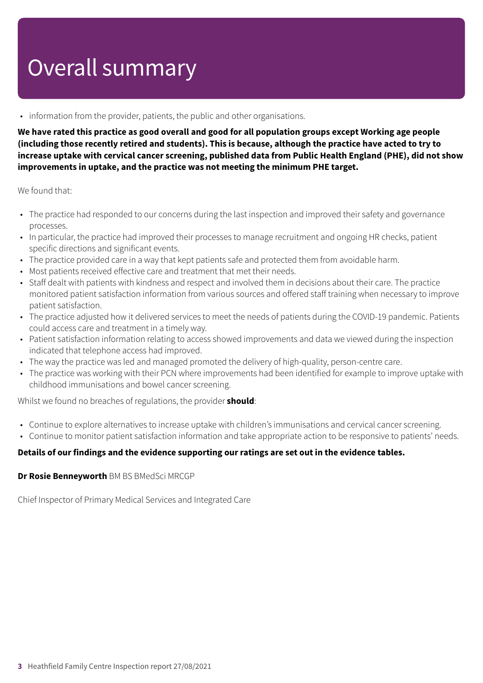# Overall summary

• information from the provider, patients, the public and other organisations.

We have rated this practice as good overall and good for all population groups except Working age people (including those recently retired and students). This is because, although the practice have acted to try to **increase uptake with cervical cancer screening, published data from Public Health England (PHE), did not show improvements in uptake, and the practice was not meeting the minimum PHE target.**

We found that:

- The practice had responded to our concerns during the last inspection and improved their safety and governance processes.
- In particular, the practice had improved their processes to manage recruitment and ongoing HR checks, patient specific directions and significant events.
- The practice provided care in a way that kept patients safe and protected them from avoidable harm.
- Most patients received effective care and treatment that met their needs.
- Staff dealt with patients with kindness and respect and involved them in decisions about their care. The practice monitored patient satisfaction information from various sources and offered staff training when necessary to improve patient satisfaction.
- The practice adjusted how it delivered services to meet the needs of patients during the COVID-19 pandemic. Patients could access care and treatment in a timely way.
- Patient satisfaction information relating to access showed improvements and data we viewed during the inspection indicated that telephone access had improved.
- The way the practice was led and managed promoted the delivery of high-quality, person-centre care.
- The practice was working with their PCN where improvements had been identified for example to improve uptake with childhood immunisations and bowel cancer screening.

Whilst we found no breaches of regulations, the provider **should**:

- Continue to explore alternatives to increase uptake with children's immunisations and cervical cancer screening.
- Continue to monitor patient satisfaction information and take appropriate action to be responsive to patients' needs.

### **Details of our findings and the evidence supporting our ratings are set out in the evidence tables.**

#### **Dr Rosie Benneyworth** BM BS BMedSci MRCGP

Chief Inspector of Primary Medical Services and Integrated Care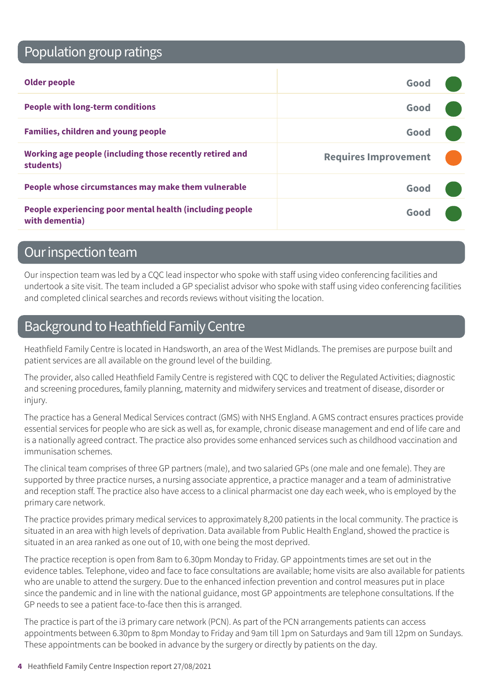# Population group ratings

| <b>Older people</b>                                                        | Good                        |  |
|----------------------------------------------------------------------------|-----------------------------|--|
| <b>People with long-term conditions</b>                                    | Good                        |  |
| <b>Families, children and young people</b>                                 | Good                        |  |
| Working age people (including those recently retired and<br>students)      | <b>Requires Improvement</b> |  |
| People whose circumstances may make them vulnerable                        | Good                        |  |
| People experiencing poor mental health (including people<br>with dementia) | Good                        |  |

### Our inspection team

Our inspection team was led by a CQC lead inspector who spoke with staff using video conferencing facilities and undertook a site visit. The team included a GP specialist advisor who spoke with staff using video conferencing facilities and completed clinical searches and records reviews without visiting the location.

# Background to Heathfield Family Centre

Heathfield Family Centre is located in Handsworth, an area of the West Midlands. The premises are purpose built and patient services are all available on the ground level of the building.

The provider, also called Heathfield Family Centre is registered with CQC to deliver the Regulated Activities; diagnostic and screening procedures, family planning, maternity and midwifery services and treatment of disease, disorder or injury.

The practice has a General Medical Services contract (GMS) with NHS England. A GMS contract ensures practices provide essential services for people who are sick as well as, for example, chronic disease management and end of life care and is a nationally agreed contract. The practice also provides some enhanced services such as childhood vaccination and immunisation schemes.

The clinical team comprises of three GP partners (male), and two salaried GPs (one male and one female). They are supported by three practice nurses, a nursing associate apprentice, a practice manager and a team of administrative and reception staff. The practice also have access to a clinical pharmacist one day each week, who is employed by the primary care network.

The practice provides primary medical services to approximately 8,200 patients in the local community. The practice is situated in an area with high levels of deprivation. Data available from Public Health England, showed the practice is situated in an area ranked as one out of 10, with one being the most deprived.

The practice reception is open from 8am to 6.30pm Monday to Friday. GP appointments times are set out in the evidence tables. Telephone, video and face to face consultations are available; home visits are also available for patients who are unable to attend the surgery. Due to the enhanced infection prevention and control measures put in place since the pandemic and in line with the national guidance, most GP appointments are telephone consultations. If the GP needs to see a patient face-to-face then this is arranged.

The practice is part of the i3 primary care network (PCN). As part of the PCN arrangements patients can access appointments between 6.30pm to 8pm Monday to Friday and 9am till 1pm on Saturdays and 9am till 12pm on Sundays. These appointments can be booked in advance by the surgery or directly by patients on the day.